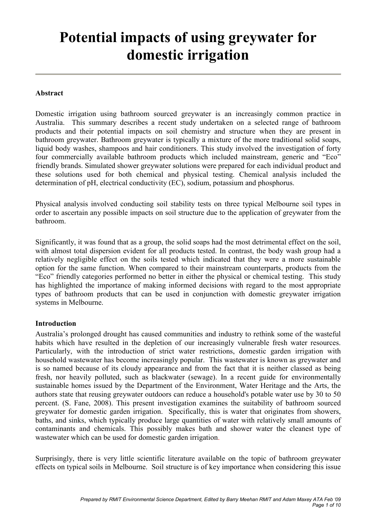# Potential impacts of using greywater for domestic irrigation

### Abstract

Domestic irrigation using bathroom sourced greywater is an increasingly common practice in Australia. This summary describes a recent study undertaken on a selected range of bathroom products and their potential impacts on soil chemistry and structure when they are present in bathroom greywater. Bathroom greywater is typically a mixture of the more traditional solid soaps, liquid body washes, shampoos and hair conditioners. This study involved the investigation of forty four commercially available bathroom products which included mainstream, generic and "Eco" friendly brands. Simulated shower greywater solutions were prepared for each individual product and these solutions used for both chemical and physical testing. Chemical analysis included the determination of pH, electrical conductivity (EC), sodium, potassium and phosphorus.

Physical analysis involved conducting soil stability tests on three typical Melbourne soil types in order to ascertain any possible impacts on soil structure due to the application of greywater from the bathroom.

Significantly, it was found that as a group, the solid soaps had the most detrimental effect on the soil, with almost total dispersion evident for all products tested. In contrast, the body wash group had a relatively negligible effect on the soils tested which indicated that they were a more sustainable option for the same function. When compared to their mainstream counterparts, products from the "Eco" friendly categories performed no better in either the physical or chemical testing. This study has highlighted the importance of making informed decisions with regard to the most appropriate types of bathroom products that can be used in conjunction with domestic greywater irrigation systems in Melbourne.

#### Introduction

Australia's prolonged drought has caused communities and industry to rethink some of the wasteful habits which have resulted in the depletion of our increasingly vulnerable fresh water resources. Particularly, with the introduction of strict water restrictions, domestic garden irrigation with household wastewater has become increasingly popular. This wastewater is known as greywater and is so named because of its cloudy appearance and from the fact that it is neither classed as being fresh, nor heavily polluted, such as blackwater (sewage). In a recent guide for environmentally sustainable homes issued by the Department of the Environment, Water Heritage and the Arts, the authors state that reusing greywater outdoors can reduce a household's potable water use by 30 to 50 percent. (S. Fane, 2008). This present investigation examines the suitability of bathroom sourced greywater for domestic garden irrigation. Specifically, this is water that originates from showers, baths, and sinks, which typically produce large quantities of water with relatively small amounts of contaminants and chemicals. This possibly makes bath and shower water the cleanest type of wastewater which can be used for domestic garden irrigation.

Surprisingly, there is very little scientific literature available on the topic of bathroom greywater effects on typical soils in Melbourne. Soil structure is of key importance when considering this issue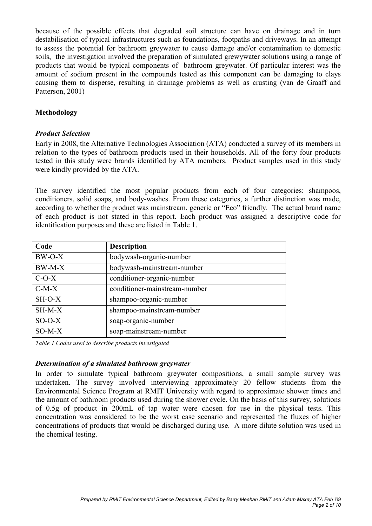because of the possible effects that degraded soil structure can have on drainage and in turn destabilisation of typical infrastructures such as foundations, footpaths and driveways. In an attempt to assess the potential for bathroom greywater to cause damage and/or contamination to domestic soils, the investigation involved the preparation of simulated grewywater solutions using a range of products that would be typical components of bathroom greywater. Of particular interest was the amount of sodium present in the compounds tested as this component can be damaging to clays causing them to disperse, resulting in drainage problems as well as crusting (van de Graaff and Patterson, 2001)

## Methodology

#### Product Selection

Early in 2008, the Alternative Technologies Association (ATA) conducted a survey of its members in relation to the types of bathroom products used in their households. All of the forty four products tested in this study were brands identified by ATA members. Product samples used in this study were kindly provided by the ATA.

The survey identified the most popular products from each of four categories: shampoos, conditioners, solid soaps, and body-washes. From these categories, a further distinction was made, according to whether the product was mainstream, generic or "Eco" friendly. The actual brand name of each product is not stated in this report. Each product was assigned a descriptive code for identification purposes and these are listed in Table 1.

| Code     | <b>Description</b>            |
|----------|-------------------------------|
| $BW-O-X$ | bodywash-organic-number       |
| $BW-M-X$ | bodywash-mainstream-number    |
| $C-O-X$  | conditioner-organic-number    |
| $C-M-X$  | conditioner-mainstream-number |
| $SH-O-X$ | shampoo-organic-number        |
| $SH-M-X$ | shampoo-mainstream-number     |
| $SO-O-X$ | soap-organic-number           |
| $SO-M-X$ | soap-mainstream-number        |

Table 1 Codes used to describe products investigated

## Determination of a simulated bathroom greywater

In order to simulate typical bathroom greywater compositions, a small sample survey was undertaken. The survey involved interviewing approximately 20 fellow students from the Environmental Science Program at RMIT University with regard to approximate shower times and the amount of bathroom products used during the shower cycle. On the basis of this survey, solutions of 0.5g of product in 200mL of tap water were chosen for use in the physical tests. This concentration was considered to be the worst case scenario and represented the fluxes of higher concentrations of products that would be discharged during use. A more dilute solution was used in the chemical testing.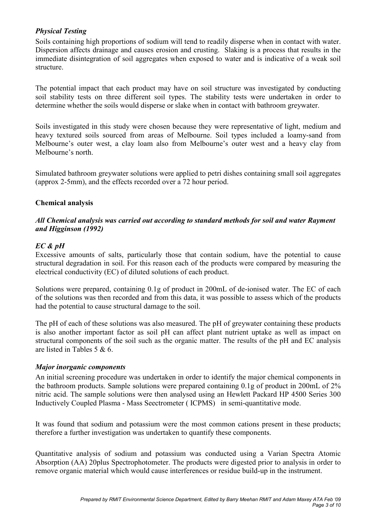## Physical Testing

Soils containing high proportions of sodium will tend to readily disperse when in contact with water. Dispersion affects drainage and causes erosion and crusting. Slaking is a process that results in the immediate disintegration of soil aggregates when exposed to water and is indicative of a weak soil structure.

The potential impact that each product may have on soil structure was investigated by conducting soil stability tests on three different soil types. The stability tests were undertaken in order to determine whether the soils would disperse or slake when in contact with bathroom greywater.

Soils investigated in this study were chosen because they were representative of light, medium and heavy textured soils sourced from areas of Melbourne. Soil types included a loamy-sand from Melbourne's outer west, a clay loam also from Melbourne's outer west and a heavy clay from Melbourne's north.

Simulated bathroom greywater solutions were applied to petri dishes containing small soil aggregates (approx 2-5mm), and the effects recorded over a 72 hour period.

## Chemical analysis

## All Chemical analysis was carried out according to standard methods for soil and water Rayment and Higginson (1992)

## EC & pH

Excessive amounts of salts, particularly those that contain sodium, have the potential to cause structural degradation in soil. For this reason each of the products were compared by measuring the electrical conductivity (EC) of diluted solutions of each product.

Solutions were prepared, containing 0.1g of product in 200mL of de-ionised water. The EC of each of the solutions was then recorded and from this data, it was possible to assess which of the products had the potential to cause structural damage to the soil.

The pH of each of these solutions was also measured. The pH of greywater containing these products is also another important factor as soil pH can affect plant nutrient uptake as well as impact on structural components of the soil such as the organic matter. The results of the pH and EC analysis are listed in Tables 5 & 6.

## Major inorganic components

An initial screening procedure was undertaken in order to identify the major chemical components in the bathroom products. Sample solutions were prepared containing 0.1g of product in 200mL of 2% nitric acid. The sample solutions were then analysed using an Hewlett Packard HP 4500 Series 300 Inductively Coupled Plasma - Mass Seectrometer ( ICPMS) in semi-quantitative mode.

It was found that sodium and potassium were the most common cations present in these products; therefore a further investigation was undertaken to quantify these components.

Quantitative analysis of sodium and potassium was conducted using a Varian Spectra Atomic Absorption (AA) 20plus Spectrophotometer. The products were digested prior to analysis in order to remove organic material which would cause interferences or residue build-up in the instrument.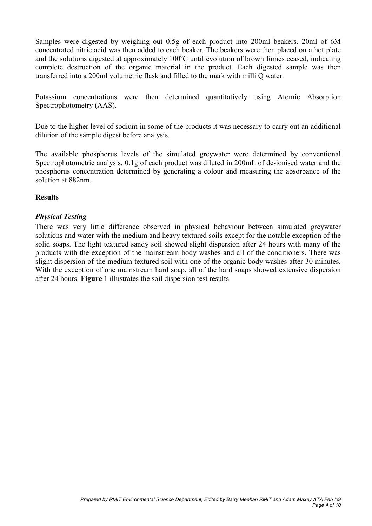Samples were digested by weighing out 0.5g of each product into 200ml beakers. 20ml of 6M concentrated nitric acid was then added to each beaker. The beakers were then placed on a hot plate and the solutions digested at approximately  $100^{\circ}$ C until evolution of brown fumes ceased, indicating complete destruction of the organic material in the product. Each digested sample was then transferred into a 200ml volumetric flask and filled to the mark with milli Q water.

Potassium concentrations were then determined quantitatively using Atomic Absorption Spectrophotometry (AAS).

Due to the higher level of sodium in some of the products it was necessary to carry out an additional dilution of the sample digest before analysis.

The available phosphorus levels of the simulated greywater were determined by conventional Spectrophotometric analysis. 0.1g of each product was diluted in 200mL of de-ionised water and the phosphorus concentration determined by generating a colour and measuring the absorbance of the solution at 882nm.

## Results

#### Physical Testing

There was very little difference observed in physical behaviour between simulated greywater solutions and water with the medium and heavy textured soils except for the notable exception of the solid soaps. The light textured sandy soil showed slight dispersion after 24 hours with many of the products with the exception of the mainstream body washes and all of the conditioners. There was slight dispersion of the medium textured soil with one of the organic body washes after 30 minutes. With the exception of one mainstream hard soap, all of the hard soaps showed extensive dispersion after 24 hours. Figure 1 illustrates the soil dispersion test results.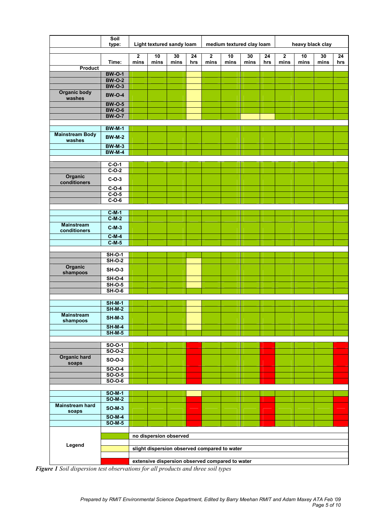|                                   | Soil<br>type:                  | Light textured sandy loam                    |                                                 |            |           | medium textured clay loam |            |            |           | heavy black clay                |            |            |           |
|-----------------------------------|--------------------------------|----------------------------------------------|-------------------------------------------------|------------|-----------|---------------------------|------------|------------|-----------|---------------------------------|------------|------------|-----------|
|                                   | Time:                          | $\overline{2}$<br>mins                       | 10<br>mins                                      | 30<br>mins | 24<br>hrs | $\overline{2}$<br>mins    | 10<br>mins | 30<br>mins | 24<br>hrs | $\overline{\mathbf{2}}$<br>mins | 10<br>mins | 30<br>mins | 24<br>hrs |
| Product                           |                                |                                              |                                                 |            |           |                           |            |            |           |                                 |            |            |           |
|                                   | <b>BW-O-1</b>                  |                                              |                                                 |            |           |                           |            |            |           |                                 |            |            |           |
|                                   | <b>BW-O-2</b><br><b>BW-O-3</b> |                                              |                                                 |            |           |                           |            |            |           |                                 |            |            |           |
| <b>Organic body</b><br>washes     | <b>BW-O-4</b>                  |                                              |                                                 |            |           |                           |            |            |           |                                 |            |            |           |
|                                   | <b>BW-O-5</b>                  |                                              |                                                 |            |           |                           |            |            |           |                                 |            |            |           |
|                                   | <b>BW-O-6</b>                  |                                              |                                                 |            |           |                           |            |            |           |                                 |            |            |           |
|                                   | <b>BW-O-7</b>                  |                                              |                                                 |            |           |                           |            |            |           |                                 |            |            |           |
|                                   | <b>BW-M-1</b>                  |                                              |                                                 |            |           |                           |            |            |           |                                 |            |            |           |
| <b>Mainstream Body</b><br>washes  | <b>BW-M-2</b>                  |                                              |                                                 |            |           |                           |            |            |           |                                 |            |            |           |
|                                   | <b>BW-M-3</b>                  |                                              |                                                 |            |           |                           |            |            |           |                                 |            |            |           |
|                                   | <b>BW-M-4</b>                  |                                              |                                                 |            |           |                           |            |            |           |                                 |            |            |           |
|                                   |                                |                                              |                                                 |            |           |                           |            |            |           |                                 |            |            |           |
|                                   | $C-O-1$<br>$C-O-2$             |                                              |                                                 |            |           |                           |            |            |           |                                 |            |            |           |
| Organic                           |                                |                                              |                                                 |            |           |                           |            |            |           |                                 |            |            |           |
| conditioners                      | $C-O-3$                        |                                              |                                                 |            |           |                           |            |            |           |                                 |            |            |           |
|                                   | $C-O-4$                        |                                              |                                                 |            |           |                           |            |            |           |                                 |            |            |           |
|                                   | $C-O-5$                        |                                              |                                                 |            |           |                           |            |            |           |                                 |            |            |           |
|                                   | $C-O-6$                        |                                              |                                                 |            |           |                           |            |            |           |                                 |            |            |           |
|                                   | $C-M-1$                        |                                              |                                                 |            |           |                           |            |            |           |                                 |            |            |           |
|                                   | $C-M-2$                        |                                              |                                                 |            |           |                           |            |            |           |                                 |            |            |           |
| <b>Mainstream</b><br>conditioners | $C-M-3$                        |                                              |                                                 |            |           |                           |            |            |           |                                 |            |            |           |
|                                   | $C-M-4$                        |                                              |                                                 |            |           |                           |            |            |           |                                 |            |            |           |
|                                   | $C-M-5$                        |                                              |                                                 |            |           |                           |            |            |           |                                 |            |            |           |
|                                   | $SH-O-1$                       |                                              |                                                 |            |           |                           |            |            |           |                                 |            |            |           |
|                                   | <b>SH-O-2</b>                  |                                              |                                                 |            |           |                           |            |            |           |                                 |            |            |           |
| Organic<br>shampoos               | <b>SH-O-3</b>                  |                                              |                                                 |            |           |                           |            |            |           |                                 |            |            |           |
|                                   | $SH-O-4$                       |                                              |                                                 |            |           |                           |            |            |           |                                 |            |            |           |
|                                   | <b>SH-O-5</b>                  |                                              |                                                 |            |           |                           |            |            |           |                                 |            |            |           |
|                                   | $SH-O-6$                       |                                              |                                                 |            |           |                           |            |            |           |                                 |            |            |           |
|                                   | <b>SH-M-1</b>                  |                                              |                                                 |            |           |                           |            |            |           |                                 |            |            |           |
|                                   | $SH-M-2$                       |                                              |                                                 |            |           |                           |            |            |           |                                 |            |            |           |
| <b>Mainstream</b><br>shampoos     | <b>SH-M-3</b>                  |                                              |                                                 |            |           |                           |            |            |           |                                 |            |            |           |
|                                   | $SH-M-4$                       |                                              |                                                 |            |           |                           |            |            |           |                                 |            |            |           |
|                                   | $SH-M-5$                       |                                              |                                                 |            |           |                           |            |            |           |                                 |            |            |           |
|                                   | $SO-O-1$                       |                                              |                                                 |            |           |                           |            |            |           |                                 |            |            |           |
|                                   | $SO-O-2$                       |                                              |                                                 |            |           |                           |            |            |           |                                 |            |            |           |
| <b>Organic hard</b><br>soaps      | SO-0-3                         |                                              |                                                 |            |           |                           |            |            |           |                                 |            |            |           |
|                                   | $SO-0-4$                       |                                              |                                                 |            |           |                           |            |            |           |                                 |            |            |           |
|                                   | $SO-0-5$                       |                                              |                                                 |            |           |                           |            |            |           |                                 |            |            |           |
|                                   | $SO-O-6$                       |                                              |                                                 |            |           |                           |            |            |           |                                 |            |            |           |
|                                   | $SO-M-1$                       |                                              |                                                 |            |           |                           |            |            |           |                                 |            |            |           |
|                                   | $SO-M-2$                       |                                              |                                                 |            |           |                           |            |            |           |                                 |            |            |           |
| <b>Mainstream hard</b><br>soaps   | <b>SO-M-3</b>                  |                                              |                                                 |            |           |                           |            |            |           |                                 |            |            |           |
|                                   | $SO-M-4$                       |                                              |                                                 |            |           |                           |            |            |           |                                 |            |            |           |
|                                   | $SO-M-5$                       |                                              |                                                 |            |           |                           |            |            |           |                                 |            |            |           |
|                                   |                                | no dispersion observed                       |                                                 |            |           |                           |            |            |           |                                 |            |            |           |
|                                   |                                |                                              |                                                 |            |           |                           |            |            |           |                                 |            |            |           |
| Legend                            |                                | slight dispersion observed compared to water |                                                 |            |           |                           |            |            |           |                                 |            |            |           |
|                                   |                                |                                              | extensive dispersion observed compared to water |            |           |                           |            |            |           |                                 |            |            |           |

Figure 1 Soil dispersion test observations for all products and three soil types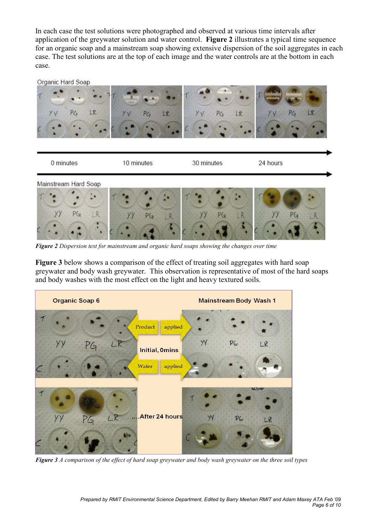In each case the test solutions were photographed and observed at various time intervals after application of the greywater solution and water control. Figure 2 illustrates a typical time sequence for an organic soap and a mainstream soap showing extensive dispersion of the soil aggregates in each case. The test solutions are at the top of each image and the water controls are at the bottom in each case.



Figure 2 Dispersion test for mainstream and organic hard soaps showing the changes over time

Figure 3 below shows a comparison of the effect of treating soil aggregates with hard soap greywater and body wash greywater. This observation is representative of most of the hard soaps and body washes with the most effect on the light and heavy textured soils.



Figure 3 A comparison of the effect of hard soap greywater and body wash greywater on the three soil types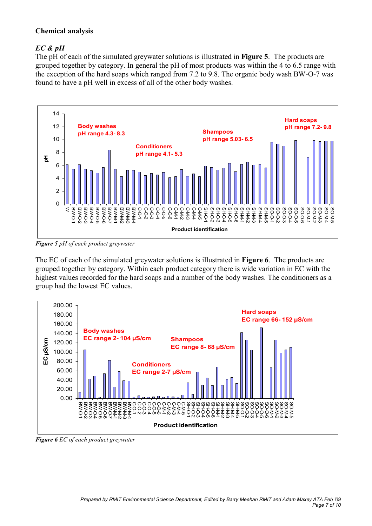## Chemical analysis

# EC & pH

The pH of each of the simulated greywater solutions is illustrated in Figure 5. The products are grouped together by category. In general the pH of most products was within the 4 to 6.5 range with the exception of the hard soaps which ranged from 7.2 to 9.8. The organic body wash BW-O-7 was found to have a pH well in excess of all of the other body washes.



Figure 5 pH of each product greywater

The EC of each of the simulated greywater solutions is illustrated in Figure 6. The products are grouped together by category. Within each product category there is wide variation in EC with the highest values recorded for the hard soaps and a number of the body washes. The conditioners as a group had the lowest EC values.



Figure 6 EC of each product greywater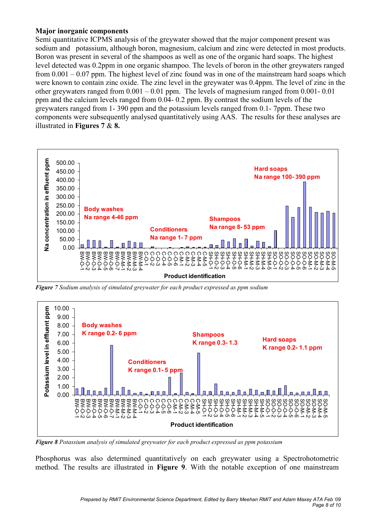## Major inorganic components

Semi quantitative ICPMS analysis of the greywater showed that the major component present was sodium and potassium, although boron, magnesium, calcium and zinc were detected in most products. Boron was present in several of the shampoos as well as one of the organic hard soaps. The highest level detected was 0.2ppm in one organic shampoo. The levels of boron in the other greywaters ranged from 0.001 – 0.07 ppm. The highest level of zinc found was in one of the mainstream hard soaps which were known to contain zinc oxide. The zinc level in the greywater was 0.4ppm. The level of zinc in the other greywaters ranged from 0.001 – 0.01 ppm. The levels of magnesium ranged from 0.001- 0.01 ppm and the calcium levels ranged from 0.04- 0.2 ppm. By contrast the sodium levels of the greywaters ranged from 1- 390 ppm and the potassium levels ranged from 0.1- 7ppm. These two components were subsequently analysed quantitatively using AAS. The results for these analyses are illustrated in Figures 7 & 8.



Figure 7 Sodium analysis of simulated greywater for each product expressed as ppm sodium



Figure 8 Potassium analysis of simulated greywater for each product expressed as ppm potassium

Phosphorus was also determined quantitatively on each greywater using a Spectrohotometric method. The results are illustrated in Figure 9. With the notable exception of one mainstream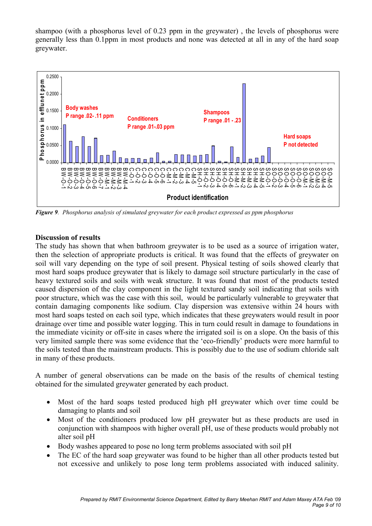shampoo (with a phosphorus level of 0.23 ppm in the greywater) , the levels of phosphorus were generally less than 0.1ppm in most products and none was detected at all in any of the hard soap greywater.



Figure 9. Phosphorus analysis of simulated greywater for each product expressed as ppm phosphorus

#### Discussion of results

The study has shown that when bathroom greywater is to be used as a source of irrigation water, then the selection of appropriate products is critical. It was found that the effects of greywater on soil will vary depending on the type of soil present. Physical testing of soils showed clearly that most hard soaps produce greywater that is likely to damage soil structure particularly in the case of heavy textured soils and soils with weak structure. It was found that most of the products tested caused dispersion of the clay component in the light textured sandy soil indicating that soils with poor structure, which was the case with this soil, would be particularly vulnerable to greywater that contain damaging components like sodium. Clay dispersion was extensive within 24 hours with most hard soaps tested on each soil type, which indicates that these greywaters would result in poor drainage over time and possible water logging. This in turn could result in damage to foundations in the immediate vicinity or off-site in cases where the irrigated soil is on a slope. On the basis of this very limited sample there was some evidence that the 'eco-friendly' products were more harmful to the soils tested than the mainstream products. This is possibly due to the use of sodium chloride salt in many of these products.

A number of general observations can be made on the basis of the results of chemical testing obtained for the simulated greywater generated by each product.

- Most of the hard soaps tested produced high pH greywater which over time could be damaging to plants and soil
- Most of the conditioners produced low pH greywater but as these products are used in conjunction with shampoos with higher overall pH, use of these products would probably not alter soil pH
- Body washes appeared to pose no long term problems associated with soil pH
- The EC of the hard soap greywater was found to be higher than all other products tested but not excessive and unlikely to pose long term problems associated with induced salinity.